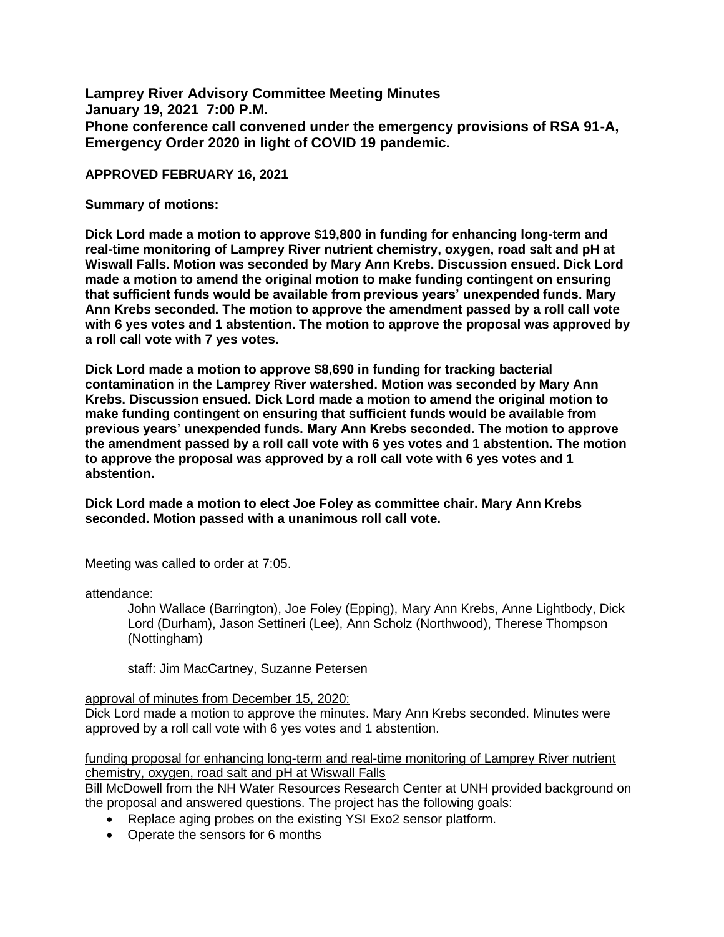**Lamprey River Advisory Committee Meeting Minutes January 19, 2021 7:00 P.M. Phone conference call convened under the emergency provisions of RSA 91-A, Emergency Order 2020 in light of COVID 19 pandemic.** 

### **APPROVED FEBRUARY 16, 2021**

### **Summary of motions:**

**Dick Lord made a motion to approve \$19,800 in funding for enhancing long-term and real-time monitoring of Lamprey River nutrient chemistry, oxygen, road salt and pH at Wiswall Falls. Motion was seconded by Mary Ann Krebs. Discussion ensued. Dick Lord made a motion to amend the original motion to make funding contingent on ensuring that sufficient funds would be available from previous years' unexpended funds. Mary Ann Krebs seconded. The motion to approve the amendment passed by a roll call vote with 6 yes votes and 1 abstention. The motion to approve the proposal was approved by a roll call vote with 7 yes votes.** 

**Dick Lord made a motion to approve \$8,690 in funding for tracking bacterial contamination in the Lamprey River watershed. Motion was seconded by Mary Ann Krebs. Discussion ensued. Dick Lord made a motion to amend the original motion to make funding contingent on ensuring that sufficient funds would be available from previous years' unexpended funds. Mary Ann Krebs seconded. The motion to approve the amendment passed by a roll call vote with 6 yes votes and 1 abstention. The motion to approve the proposal was approved by a roll call vote with 6 yes votes and 1 abstention.** 

**Dick Lord made a motion to elect Joe Foley as committee chair. Mary Ann Krebs seconded. Motion passed with a unanimous roll call vote.** 

Meeting was called to order at 7:05.

### attendance:

John Wallace (Barrington), Joe Foley (Epping), Mary Ann Krebs, Anne Lightbody, Dick Lord (Durham), Jason Settineri (Lee), Ann Scholz (Northwood), Therese Thompson (Nottingham)

staff: Jim MacCartney, Suzanne Petersen

### approval of minutes from December 15, 2020:

Dick Lord made a motion to approve the minutes. Mary Ann Krebs seconded. Minutes were approved by a roll call vote with 6 yes votes and 1 abstention.

funding proposal for enhancing long-term and real-time monitoring of Lamprey River nutrient chemistry, oxygen, road salt and pH at Wiswall Falls

Bill McDowell from the NH Water Resources Research Center at UNH provided background on the proposal and answered questions. The project has the following goals:

- Replace aging probes on the existing YSI Exo2 sensor platform.
- Operate the sensors for 6 months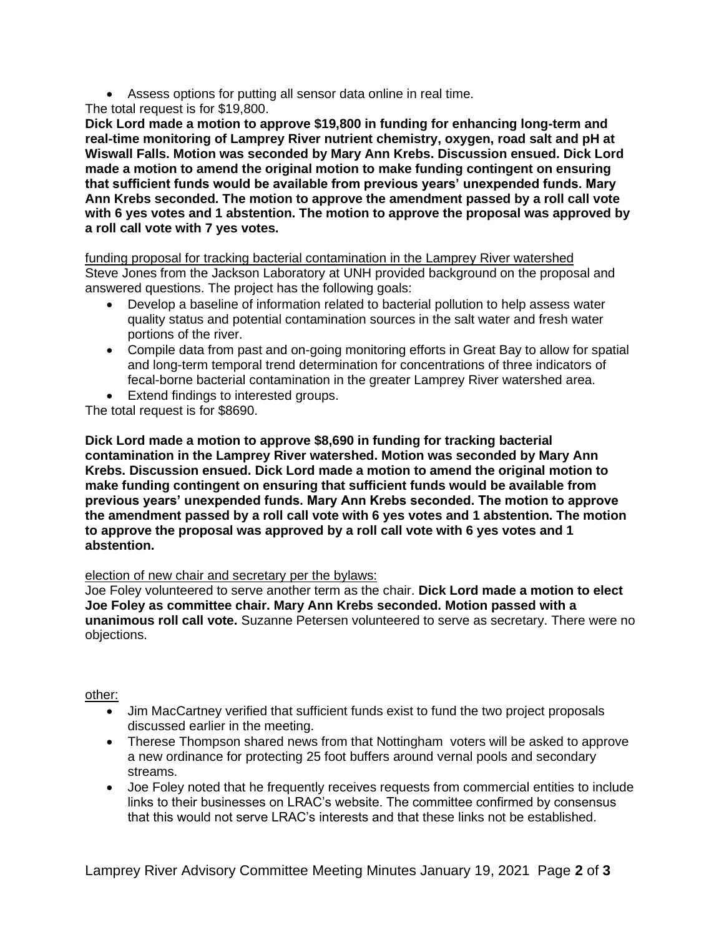- Assess options for putting all sensor data online in real time.
- The total request is for \$19,800.

**Dick Lord made a motion to approve \$19,800 in funding for enhancing long-term and real-time monitoring of Lamprey River nutrient chemistry, oxygen, road salt and pH at Wiswall Falls. Motion was seconded by Mary Ann Krebs. Discussion ensued. Dick Lord made a motion to amend the original motion to make funding contingent on ensuring that sufficient funds would be available from previous years' unexpended funds. Mary Ann Krebs seconded. The motion to approve the amendment passed by a roll call vote with 6 yes votes and 1 abstention. The motion to approve the proposal was approved by a roll call vote with 7 yes votes.** 

funding proposal for tracking bacterial contamination in the Lamprey River watershed Steve Jones from the Jackson Laboratory at UNH provided background on the proposal and answered questions. The project has the following goals:

- Develop a baseline of information related to bacterial pollution to help assess water quality status and potential contamination sources in the salt water and fresh water portions of the river.
- Compile data from past and on-going monitoring efforts in Great Bay to allow for spatial and long-term temporal trend determination for concentrations of three indicators of fecal-borne bacterial contamination in the greater Lamprey River watershed area.
- Extend findings to interested groups.

The total request is for \$8690.

**Dick Lord made a motion to approve \$8,690 in funding for tracking bacterial contamination in the Lamprey River watershed. Motion was seconded by Mary Ann Krebs. Discussion ensued. Dick Lord made a motion to amend the original motion to make funding contingent on ensuring that sufficient funds would be available from previous years' unexpended funds. Mary Ann Krebs seconded. The motion to approve the amendment passed by a roll call vote with 6 yes votes and 1 abstention. The motion to approve the proposal was approved by a roll call vote with 6 yes votes and 1 abstention.** 

# election of new chair and secretary per the bylaws:

Joe Foley volunteered to serve another term as the chair. **Dick Lord made a motion to elect Joe Foley as committee chair. Mary Ann Krebs seconded. Motion passed with a unanimous roll call vote.** Suzanne Petersen volunteered to serve as secretary. There were no objections.

### other:

- Jim MacCartney verified that sufficient funds exist to fund the two project proposals discussed earlier in the meeting.
- Therese Thompson shared news from that Nottingham voters will be asked to approve a new ordinance for protecting 25 foot buffers around vernal pools and secondary streams.
- Joe Foley noted that he frequently receives requests from commercial entities to include links to their businesses on LRAC's website. The committee confirmed by consensus that this would not serve LRAC's interests and that these links not be established.